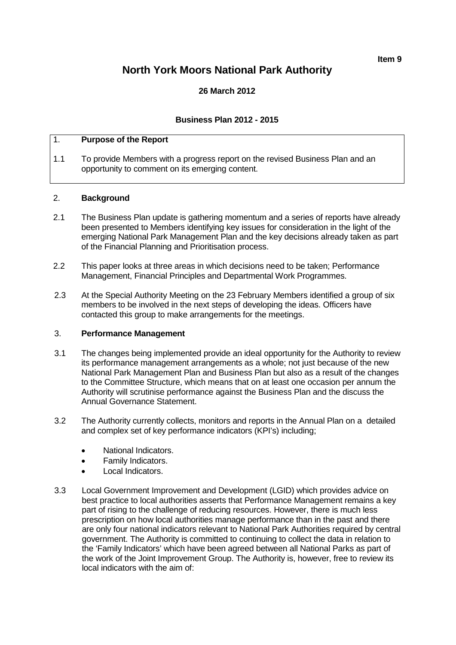**Item 9**

# **North York Moors National Park Authority**

# **26 March 2012**

## **Business Plan 2012 - 2015**

# 1. **Purpose of the Report**

1.1 To provide Members with a progress report on the revised Business Plan and an opportunity to comment on its emerging content.

#### 2. **Background**

- 2.1 The Business Plan update is gathering momentum and a series of reports have already been presented to Members identifying key issues for consideration in the light of the emerging National Park Management Plan and the key decisions already taken as part of the Financial Planning and Prioritisation process.
- 2.2 This paper looks at three areas in which decisions need to be taken; Performance Management, Financial Principles and Departmental Work Programmes.
- 2.3 At the Special Authority Meeting on the 23 February Members identified a group of six members to be involved in the next steps of developing the ideas. Officers have contacted this group to make arrangements for the meetings.

#### 3. **Performance Management**

- 3.1 The changes being implemented provide an ideal opportunity for the Authority to review its performance management arrangements as a whole; not just because of the new National Park Management Plan and Business Plan but also as a result of the changes to the Committee Structure, which means that on at least one occasion per annum the Authority will scrutinise performance against the Business Plan and the discuss the Annual Governance Statement.
- 3.2 The Authority currently collects, monitors and reports in the Annual Plan on a detailed and complex set of key performance indicators (KPI's) including;
	- National Indicators.
	- Family Indicators.
	- Local Indicators.
- 3.3 Local Government Improvement and Development (LGID) which provides advice on best practice to local authorities asserts that Performance Management remains a key part of rising to the challenge of reducing resources. However, there is much less prescription on how local authorities manage performance than in the past and there are only four national indicators relevant to National Park Authorities required by central government. The Authority is committed to continuing to collect the data in relation to the 'Family Indicators' which have been agreed between all National Parks as part of the work of the Joint Improvement Group. The Authority is, however, free to review its local indicators with the aim of: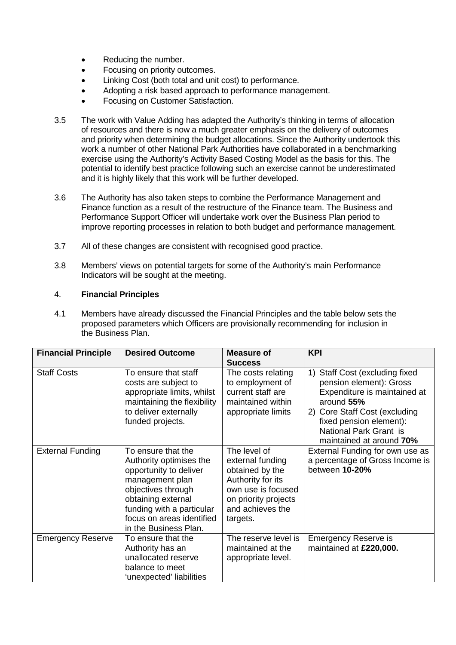- Reducing the number.
- Focusing on priority outcomes.
- Linking Cost (both total and unit cost) to performance.
- Adopting a risk based approach to performance management.
- Focusing on Customer Satisfaction.
- 3.5 The work with Value Adding has adapted the Authority's thinking in terms of allocation of resources and there is now a much greater emphasis on the delivery of outcomes and priority when determining the budget allocations. Since the Authority undertook this work a number of other National Park Authorities have collaborated in a benchmarking exercise using the Authority's Activity Based Costing Model as the basis for this. The potential to identify best practice following such an exercise cannot be underestimated and it is highly likely that this work will be further developed.
- 3.6 The Authority has also taken steps to combine the Performance Management and Finance function as a result of the restructure of the Finance team. The Business and Performance Support Officer will undertake work over the Business Plan period to improve reporting processes in relation to both budget and performance management.
- 3.7 All of these changes are consistent with recognised good practice.
- 3.8 Members' views on potential targets for some of the Authority's main Performance Indicators will be sought at the meeting.

## 4. **Financial Principles**

4.1 Members have already discussed the Financial Principles and the table below sets the proposed parameters which Officers are provisionally recommending for inclusion in the Business Plan.

| <b>Financial Principle</b> | <b>Desired Outcome</b>                                                                                                                                                                                                    | <b>Measure of</b>                                                                                                                                      | <b>KPI</b>                                                                                                                                                                                                                   |
|----------------------------|---------------------------------------------------------------------------------------------------------------------------------------------------------------------------------------------------------------------------|--------------------------------------------------------------------------------------------------------------------------------------------------------|------------------------------------------------------------------------------------------------------------------------------------------------------------------------------------------------------------------------------|
|                            |                                                                                                                                                                                                                           | <b>Success</b>                                                                                                                                         |                                                                                                                                                                                                                              |
| <b>Staff Costs</b>         | To ensure that staff<br>costs are subject to<br>appropriate limits, whilst<br>maintaining the flexibility<br>to deliver externally<br>funded projects.                                                                    | The costs relating<br>to employment of<br>current staff are<br>maintained within<br>appropriate limits                                                 | Staff Cost (excluding fixed<br>1)<br>pension element): Gross<br>Expenditure is maintained at<br>around 55%<br>2) Core Staff Cost (excluding<br>fixed pension element):<br>National Park Grant is<br>maintained at around 70% |
| <b>External Funding</b>    | To ensure that the<br>Authority optimises the<br>opportunity to deliver<br>management plan<br>objectives through<br>obtaining external<br>funding with a particular<br>focus on areas identified<br>in the Business Plan. | The level of<br>external funding<br>obtained by the<br>Authority for its<br>own use is focused<br>on priority projects<br>and achieves the<br>targets. | External Funding for own use as<br>a percentage of Gross Income is<br>between 10-20%                                                                                                                                         |
| <b>Emergency Reserve</b>   | To ensure that the<br>Authority has an<br>unallocated reserve<br>balance to meet<br>'unexpected' liabilities                                                                                                              | The reserve level is<br>maintained at the<br>appropriate level.                                                                                        | <b>Emergency Reserve is</b><br>maintained at £220,000.                                                                                                                                                                       |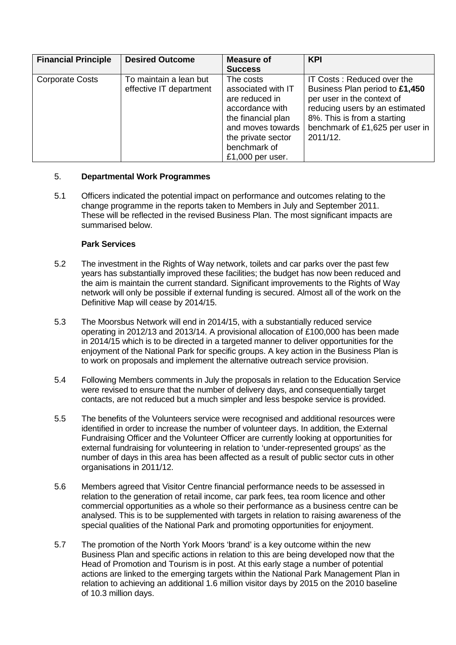| <b>Financial Principle</b> | <b>Desired Outcome</b>                            | <b>Measure of</b>                                                                                                                                     | <b>KPI</b>                                                                                                                                                                                                 |
|----------------------------|---------------------------------------------------|-------------------------------------------------------------------------------------------------------------------------------------------------------|------------------------------------------------------------------------------------------------------------------------------------------------------------------------------------------------------------|
|                            |                                                   | <b>Success</b>                                                                                                                                        |                                                                                                                                                                                                            |
| <b>Corporate Costs</b>     | To maintain a lean but<br>effective IT department | The costs<br>associated with IT<br>are reduced in<br>accordance with<br>the financial plan<br>and moves towards<br>the private sector<br>benchmark of | IT Costs: Reduced over the<br>Business Plan period to £1,450<br>per user in the context of<br>reducing users by an estimated<br>8%. This is from a starting<br>benchmark of £1,625 per user in<br>2011/12. |
|                            |                                                   | $£1,000$ per user.                                                                                                                                    |                                                                                                                                                                                                            |

## 5. **Departmental Work Programmes**

5.1 Officers indicated the potential impact on performance and outcomes relating to the change programme in the reports taken to Members in July and September 2011. These will be reflected in the revised Business Plan. The most significant impacts are summarised below.

## **Park Services**

- 5.2 The investment in the Rights of Way network, toilets and car parks over the past few years has substantially improved these facilities; the budget has now been reduced and the aim is maintain the current standard. Significant improvements to the Rights of Way network will only be possible if external funding is secured. Almost all of the work on the Definitive Map will cease by 2014/15.
- 5.3 The Moorsbus Network will end in 2014/15, with a substantially reduced service operating in 2012/13 and 2013/14. A provisional allocation of £100,000 has been made in 2014/15 which is to be directed in a targeted manner to deliver opportunities for the enjoyment of the National Park for specific groups. A key action in the Business Plan is to work on proposals and implement the alternative outreach service provision.
- 5.4 Following Members comments in July the proposals in relation to the Education Service were revised to ensure that the number of delivery days, and consequentially target contacts, are not reduced but a much simpler and less bespoke service is provided.
- 5.5 The benefits of the Volunteers service were recognised and additional resources were identified in order to increase the number of volunteer days. In addition, the External Fundraising Officer and the Volunteer Officer are currently looking at opportunities for external fundraising for volunteering in relation to 'under-represented groups' as the number of days in this area has been affected as a result of public sector cuts in other organisations in 2011/12.
- 5.6 Members agreed that Visitor Centre financial performance needs to be assessed in relation to the generation of retail income, car park fees, tea room licence and other commercial opportunities as a whole so their performance as a business centre can be analysed. This is to be supplemented with targets in relation to raising awareness of the special qualities of the National Park and promoting opportunities for enjoyment.
- 5.7 The promotion of the North York Moors 'brand' is a key outcome within the new Business Plan and specific actions in relation to this are being developed now that the Head of Promotion and Tourism is in post. At this early stage a number of potential actions are linked to the emerging targets within the National Park Management Plan in relation to achieving an additional 1.6 million visitor days by 2015 on the 2010 baseline of 10.3 million days.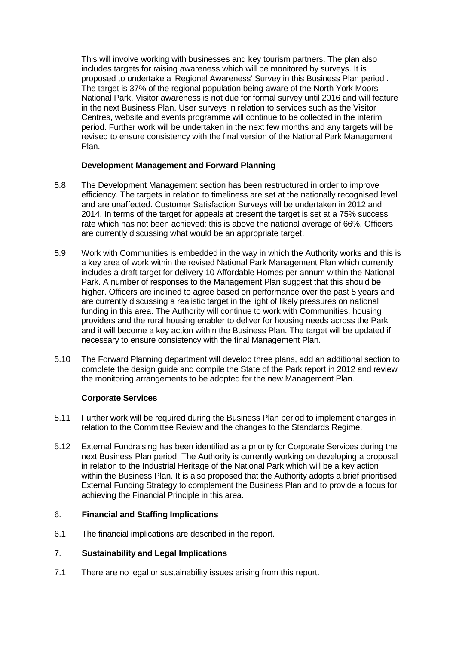This will involve working with businesses and key tourism partners. The plan also includes targets for raising awareness which will be monitored by surveys. It is proposed to undertake a 'Regional Awareness' Survey in this Business Plan period . The target is 37% of the regional population being aware of the North York Moors National Park. Visitor awareness is not due for formal survey until 2016 and will feature in the next Business Plan. User surveys in relation to services such as the Visitor Centres, website and events programme will continue to be collected in the interim period. Further work will be undertaken in the next few months and any targets will be revised to ensure consistency with the final version of the National Park Management Plan.

## **Development Management and Forward Planning**

- 5.8 The Development Management section has been restructured in order to improve efficiency. The targets in relation to timeliness are set at the nationally recognised level and are unaffected. Customer Satisfaction Surveys will be undertaken in 2012 and 2014. In terms of the target for appeals at present the target is set at a 75% success rate which has not been achieved; this is above the national average of 66%. Officers are currently discussing what would be an appropriate target.
- 5.9 Work with Communities is embedded in the way in which the Authority works and this is a key area of work within the revised National Park Management Plan which currently includes a draft target for delivery 10 Affordable Homes per annum within the National Park. A number of responses to the Management Plan suggest that this should be higher. Officers are inclined to agree based on performance over the past 5 years and are currently discussing a realistic target in the light of likely pressures on national funding in this area. The Authority will continue to work with Communities, housing providers and the rural housing enabler to deliver for housing needs across the Park and it will become a key action within the Business Plan. The target will be updated if necessary to ensure consistency with the final Management Plan.
- 5.10 The Forward Planning department will develop three plans, add an additional section to complete the design guide and compile the State of the Park report in 2012 and review the monitoring arrangements to be adopted for the new Management Plan.

## **Corporate Services**

- 5.11 Further work will be required during the Business Plan period to implement changes in relation to the Committee Review and the changes to the Standards Regime.
- 5.12 External Fundraising has been identified as a priority for Corporate Services during the next Business Plan period. The Authority is currently working on developing a proposal in relation to the Industrial Heritage of the National Park which will be a key action within the Business Plan. It is also proposed that the Authority adopts a brief prioritised External Funding Strategy to complement the Business Plan and to provide a focus for achieving the Financial Principle in this area.

#### 6. **Financial and Staffing Implications**

6.1 The financial implications are described in the report.

#### 7. **Sustainability and Legal Implications**

7.1 There are no legal or sustainability issues arising from this report.